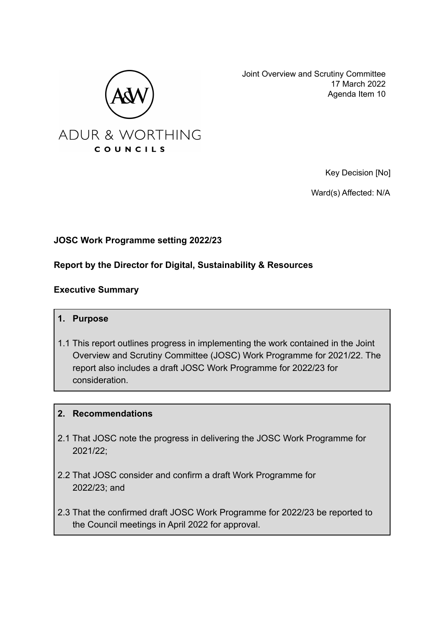

Joint Overview and Scrutiny Committee 17 March 2022 Agenda Item 10

Key Decision [No]

Ward(s) Affected: N/A

# **JOSC Work Programme setting 2022/23**

### **Report by the Director for Digital, Sustainability & Resources**

### **Executive Summary**

- **1. Purpose**
- 1.1 This report outlines progress in implementing the work contained in the Joint Overview and Scrutiny Committee (JOSC) Work Programme for 2021/22. The report also includes a draft JOSC Work Programme for 2022/23 for consideration.

### **2. Recommendations**

- 2.1 That JOSC note the progress in delivering the JOSC Work Programme for 2021/22;
- 2.2 That JOSC consider and confirm a draft Work Programme for 2022/23; and
- 2.3 That the confirmed draft JOSC Work Programme for 2022/23 be reported to the Council meetings in April 2022 for approval.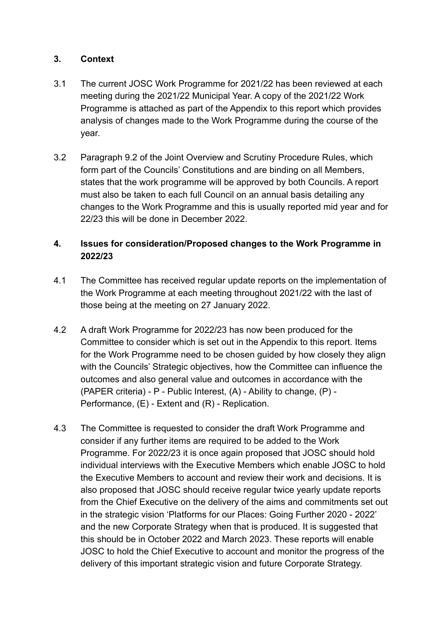### **3. Context**

- 3.1 The current JOSC Work Programme for 2021/22 has been reviewed at each meeting during the 2021/22 Municipal Year. A copy of the 2021/22 Work Programme is attached as part of the Appendix to this report which provides analysis of changes made to the Work Programme during the course of the year.
- 3.2 Paragraph 9.2 of the Joint Overview and Scrutiny Procedure Rules, which form part of the Councils' Constitutions and are binding on all Members, states that the work programme will be approved by both Councils. A report must also be taken to each full Council on an annual basis detailing any changes to the Work Programme and this is usually reported mid year and for 22/23 this will be done in December 2022.

# **4. Issues for consideration/Proposed changes to the Work Programme in 2022/23**

- 4.1 The Committee has received regular update reports on the implementation of the Work Programme at each meeting throughout 2021/22 with the last of those being at the meeting on 27 January 2022.
- 4.2 A draft Work Programme for 2022/23 has now been produced for the Committee to consider which is set out in the Appendix to this report. Items for the Work Programme need to be chosen guided by how closely they align with the Councils' Strategic objectives, how the Committee can influence the outcomes and also general value and outcomes in accordance with the (PAPER criteria) - P - Public Interest, (A) - Ability to change, (P) - Performance, (E) - Extent and (R) - Replication.
- 4.3 The Committee is requested to consider the draft Work Programme and consider if any further items are required to be added to the Work Programme. For 2022/23 it is once again proposed that JOSC should hold individual interviews with the Executive Members which enable JOSC to hold the Executive Members to account and review their work and decisions. It is also proposed that JOSC should receive regular twice yearly update reports from the Chief Executive on the delivery of the aims and commitments set out in the strategic vision 'Platforms for our Places: Going Further 2020 - 2022' and the new Corporate Strategy when that is produced. It is suggested that this should be in October 2022 and March 2023. These reports will enable JOSC to hold the Chief Executive to account and monitor the progress of the delivery of this important strategic vision and future Corporate Strategy.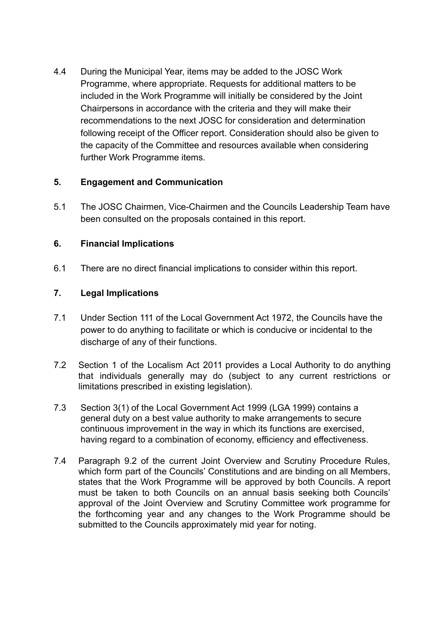4.4 During the Municipal Year, items may be added to the JOSC Work Programme, where appropriate. Requests for additional matters to be included in the Work Programme will initially be considered by the Joint Chairpersons in accordance with the criteria and they will make their recommendations to the next JOSC for consideration and determination following receipt of the Officer report. Consideration should also be given to the capacity of the Committee and resources available when considering further Work Programme items.

### **5. Engagement and Communication**

5.1 The JOSC Chairmen, Vice-Chairmen and the Councils Leadership Team have been consulted on the proposals contained in this report.

# **6. Financial Implications**

6.1 There are no direct financial implications to consider within this report.

# **7. Legal Implications**

- 7.1 Under Section 111 of the Local Government Act 1972, the Councils have the power to do anything to facilitate or which is conducive or incidental to the discharge of any of their functions.
- 7.2 Section 1 of the Localism Act 2011 provides a Local Authority to do anything that individuals generally may do (subject to any current restrictions or limitations prescribed in existing legislation).
- 7.3 Section 3(1) of the Local Government Act 1999 (LGA 1999) contains a general duty on a best value authority to make arrangements to secure continuous improvement in the way in which its functions are exercised, having regard to a combination of economy, efficiency and effectiveness.
- 7.4 Paragraph 9.2 of the current Joint Overview and Scrutiny Procedure Rules, which form part of the Councils' Constitutions and are binding on all Members, states that the Work Programme will be approved by both Councils. A report must be taken to both Councils on an annual basis seeking both Councils' approval of the Joint Overview and Scrutiny Committee work programme for the forthcoming year and any changes to the Work Programme should be submitted to the Councils approximately mid year for noting.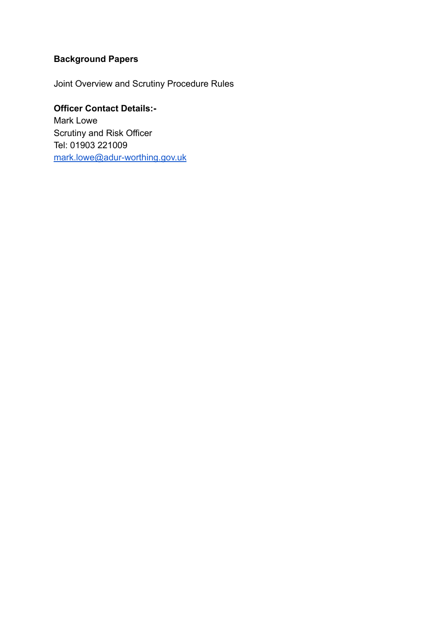# **Background Papers**

Joint Overview and Scrutiny Procedure Rules

# **Officer Contact Details:-**

Mark Lowe Scrutiny and Risk Officer Tel: 01903 221009 [mark.lowe@adur-worthing.gov.uk](mailto:mark.lowe@adur-worthing.gov.uk)